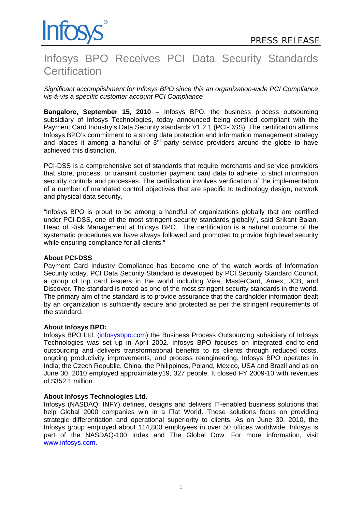

# Infosys BPO Receives PCI Data Security Standards **Certification**

*Significant accomplishment for Infosys BPO since this an organization-wide PCI Compliance vis-à-vis a specific customer account PCI Compliance*

**Bangalore, September 15, 2010** – Infosys BPO, the business process outsourcing subsidiary of Infosys Technologies, today announced being certified compliant with the Payment Card Industry's Data Security standards V1.2.1 (PCI-DSS). The certification affirms Infosys BPO's commitment to a strong data protection and information management strategy and places it among a handful of  $3<sup>rd</sup>$  party service providers around the globe to have achieved this distinction.

PCI-DSS is a comprehensive set of standards that require merchants and service providers that store, process, or transmit customer payment card data to adhere to strict information security controls and processes. The certification involves verification of the implementation of a number of mandated control objectives that are specific to technology design, network and physical data security.

"Infosys BPO is proud to be among a handful of organizations globally that are certified under PCI-DSS, one of the most stringent security standards globally", said Srikant Balan, Head of Risk Management at Infosys BPO. "The certification is a natural outcome of the systematic procedures we have always followed and promoted to provide high level security while ensuring compliance for all clients."

## **About PCI-DSS**

Payment Card Industry Compliance has become one of the watch words of Information Security today. PCI Data Security Standard is developed by PCI Security Standard Council, a group of top card issuers in the world including Visa, MasterCard, Amex, JCB, and Discover. The standard is noted as one of the most stringent security standards in the world. The primary aim of the standard is to provide assurance that the cardholder information dealt by an organization is sufficiently secure and protected as per the stringent requirements of the standard.

## **About Infosys BPO:**

Infosys BPO Ltd. [\(infosysbpo.com](http://www.infosys.com/bpo)) the Business Process Outsourcing subsidiary of Infosys Technologies was set up in April 2002. Infosys BPO focuses on integrated end-to-end outsourcing and delivers transformational benefits to its clients through reduced costs, ongoing productivity improvements, and process reengineering. Infosys BPO operates in India, the Czech Republic, China, the Philippines, Poland, Mexico, USA and Brazil and as on June 30, 2010 employed approximately19, 327 people. It closed FY 2009-10 with revenues of \$352.1 million.

## **About Infosys Technologies Ltd.**

Infosys (NASDAQ: INFY) defines, designs and delivers IT-enabled business solutions that help Global 2000 companies win in a Flat World. These solutions focus on providing strategic differentiation and operational superiority to clients. As on June 30, 2010, the Infosys group employed about 114,800 employees in over 50 offices worldwide. Infosys is part of the NASDAQ-100 Index and The Global Dow. For more information, visit www.infosys.com.